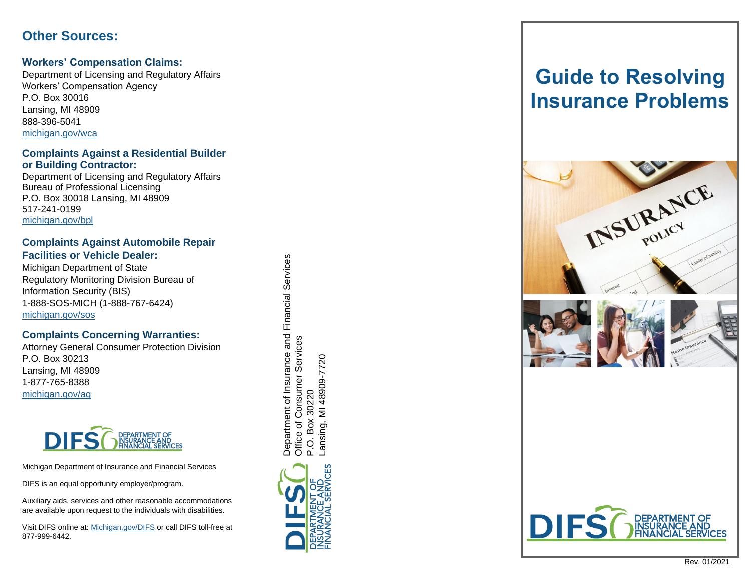# **Other Sources:**

#### **Workers' Compensation Claims:**

Department of Licensing and Regulatory Affairs Workers' Compensation Agency P.O. Box 30016 Lansing, MI 48909 888 -396 -5041 [michigan.gov/wca](http://www.michigan.gov/wca) 

#### **Complaints Against a Residential Builder or Building Contractor:**

Department of Licensing and Regulatory Affairs Bureau of Professional Licensing P.O. Box 30018 Lansing, MI 48909 517 -241 -0199 [michigan.gov/bpl](http://www.michigan.gov/bpl)

#### **Complaints Against Automobile Repair Facilities or Vehicle Dealer:**

Michigan Department of State Regulatory Monitoring Division Bureau of Information Security (BIS) 1-888-SOS-MICH (1-888-767 -6424) [michigan.gov/sos](www.michigan.gov/sos)

#### **Complaints Concerning Warranties:**

Attorney General Consumer Protection Division P.O. Box 30213 Lansing, MI 48909 1-877-765-8388 [michigan.gov/ag](http://www.michigan.gov/ag)



Michigan Department of Insurance and Financial Services

DIFS is an equal opportunity employer/program.

Auxiliary aids, services and other reasonable accommodations are available upon request to the individuals with disabilities.

Visit DIFS online at[: Michigan.gov/DIFS](http://www.michigan.gov/DIFS) or call DIFS toll-free at 877 -999 -6442 .

Department of Insurance and Financial Services Department of Insurance and Financial Services Office of Consumer Services Office of Consumer Services ansing, MI 48909-7720 Lansing, MI 48909-7720 30220 P.O. Box 30220 Box  $\overline{O}$ 



# **Guide to Resolving Insurance Problems**







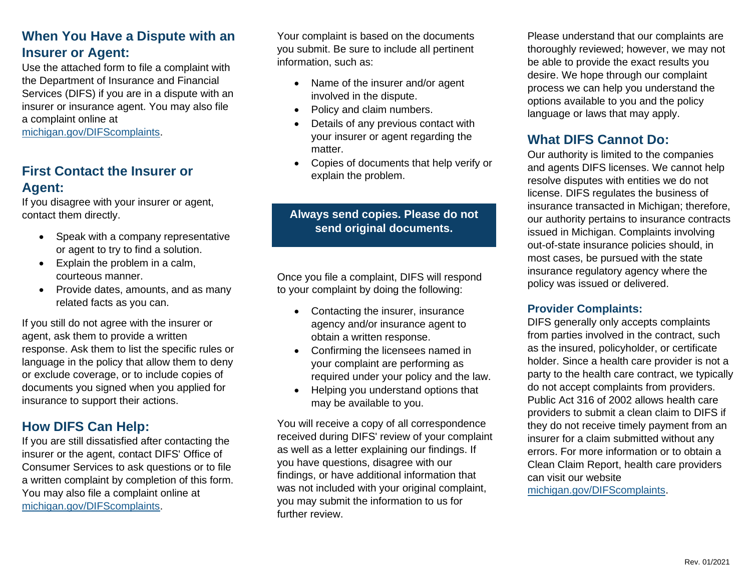# **When You Have a Dispute with an Insurer or Agent:**

Use the attached form to file a complaint with the Department of Insurance and Financial Services (DIFS) if you are in a dispute with an insurer or insurance agent. You may also file a complaint online at

[michigan.gov/DIFScomplaints.](http://www.michigan.gov/DIFScomplaints)

# **First Contact the Insurer or Agent:**

If you disagree with your insurer or agent, contact them directly.

- Speak with a company representative or agent to try to find a solution.
- Explain the problem in a calm, courteous manner.
- Provide dates, amounts, and as many related facts as you can.

If you still do not agree with the insurer or agent, ask them to provide a written response. Ask them to list the specific rules or language in the policy that allow them to deny or exclude coverage, or to include copies of documents you signed when you applied for insurance to support their actions.

# **How DIFS Can Help:**

If you are still dissatisfied after contacting the insurer or the agent, contact DIFS' Office of Consumer Services to ask questions or to file a written complaint by completion of this form. You may also file a complaint online at [michigan.gov/DIFScomplaints.](http://www.michigan.gov/DIFScomplaints)

Your complaint is based on the documents you submit. Be sure to include all pertinent information, such as:

- Name of the insurer and/or agent involved in the dispute.
- Policy and claim numbers.
- Details of any previous contact with your insurer or agent regarding the matter.
- Copies of documents that help verify or explain the problem.

## **Always send copies. Please do not send original documents.**

Once you file a complaint, DIFS will respond to your complaint by doing the following:

- Contacting the insurer, insurance agency and/or insurance agent to obtain a written response.
- Confirming the licensees named in your complaint are performing as required under your policy and the law.
- Helping you understand options that may be available to you.

You will receive a copy of all correspondence received during DIFS' review of your complaint as well as a letter explaining our findings. If you have questions, disagree with our findings, or have additional information that was not included with your original complaint, you may submit the information to us for further review.

Please understand that our complaints are thoroughly reviewed; however, we may not be able to provide the exact results you desire. We hope through our complaint process we can help you understand the options available to you and the policy language or laws that may apply.

# **What DIFS Cannot Do:**

Our authority is limited to the companies and agents DIFS licenses. We cannot help resolve disputes with entities we do not license. DIFS regulates the business of insurance transacted in Michigan; therefore, our authority pertains to insurance contracts issued in Michigan. Complaints involving out-of-state insurance policies should, in most cases, be pursued with the state insurance regulatory agency where the policy was issued or delivered.

### **Provider Complaints:**

DIFS generally only accepts complaints from parties involved in the contract, such as the insured, policyholder, or certificate holder. Since a health care provider is not a party to the health care contract, we typically do not accept complaints from providers. Public Act 316 of 2002 allows health care providers to submit a clean claim to DIFS if they do not receive timely payment from an insurer for a claim submitted without any errors. For more information or to obtain a Clean Claim Report, health care providers can visit our website [michigan.gov/DIFScomplaints.](http://www.michigan.gov/DIFScomplaints)